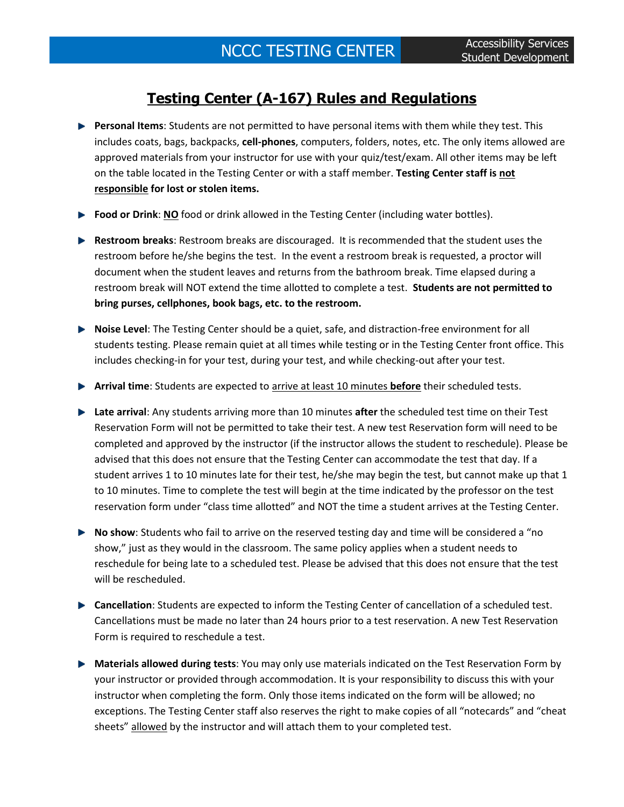## **Testing Center (A-167) Rules and Regulations**

- **Personal Items**: Students are not permitted to have personal items with them while they test. This includes coats, bags, backpacks, **cell-phones**, computers, folders, notes, etc. The only items allowed are approved materials from your instructor for use with your quiz/test/exam. All other items may be left on the table located in the Testing Center or with a staff member. **Testing Center staff is not responsible for lost or stolen items.**
- **Food or Drink: NO** food or drink allowed in the Testing Center (including water bottles).
- **Restroom breaks**: Restroom breaks are discouraged. It is recommended that the student uses the restroom before he/she begins the test. In the event a restroom break is requested, a proctor will document when the student leaves and returns from the bathroom break. Time elapsed during a restroom break will NOT extend the time allotted to complete a test. **Students are not permitted to bring purses, cellphones, book bags, etc. to the restroom.**
- **Noise Level**: The Testing Center should be a quiet, safe, and distraction-free environment for all students testing. Please remain quiet at all times while testing or in the Testing Center front office. This includes checking-in for your test, during your test, and while checking-out after your test.
- **Arrival time**: Students are expected to arrive at least 10 minutes **before** their scheduled tests.
- **Late arrival**: Any students arriving more than 10 minutes **after** the scheduled test time on their Test Reservation Form will not be permitted to take their test. A new test Reservation form will need to be completed and approved by the instructor (if the instructor allows the student to reschedule). Please be advised that this does not ensure that the Testing Center can accommodate the test that day. If a student arrives 1 to 10 minutes late for their test, he/she may begin the test, but cannot make up that 1 to 10 minutes. Time to complete the test will begin at the time indicated by the professor on the test reservation form under "class time allotted" and NOT the time a student arrives at the Testing Center.
- **No show**: Students who fail to arrive on the reserved testing day and time will be considered a "no show," just as they would in the classroom. The same policy applies when a student needs to reschedule for being late to a scheduled test. Please be advised that this does not ensure that the test will be rescheduled.
- **Cancellation**: Students are expected to inform the Testing Center of cancellation of a scheduled test. Cancellations must be made no later than 24 hours prior to a test reservation. A new Test Reservation Form is required to reschedule a test.
- **Materials allowed during tests**: You may only use materials indicated on the Test Reservation Form by your instructor or provided through accommodation. It is your responsibility to discuss this with your instructor when completing the form. Only those items indicated on the form will be allowed; no exceptions. The Testing Center staff also reserves the right to make copies of all "notecards" and "cheat sheets" allowed by the instructor and will attach them to your completed test.